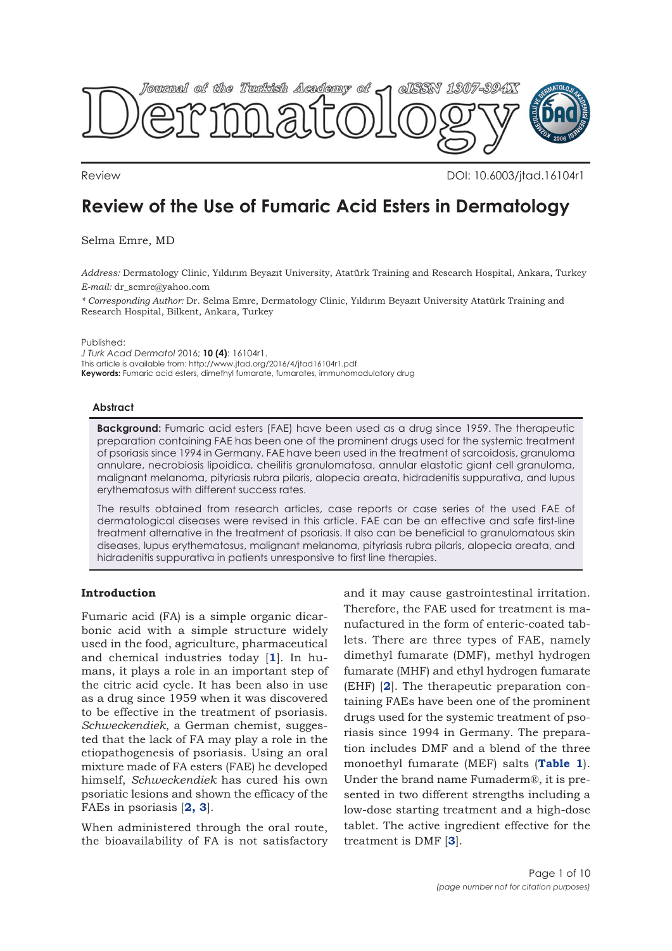

Review DOI: 10.6003/jtad.16104r1

# **Review of the Use of Fumaric Acid Esters in Dermatology**

Selma Emre, MD

*Address:* Dermatology Clinic, Yıldırım Beyazıt University, Atatürk Training and Research Hospital, Ankara, Turkey *E-mail:* dr\_semre@yahoo.com

*\* Corresponding Author:* Dr. Selma Emre, Dermatology Clinic, Yıldırım Beyazıt University Atatürk Training and Research Hospital, Bilkent, Ankara, Turkey

Published:

*J Turk Acad Dermatol* 2016; **10 (4)**: 16104r1. This article is available from: http://www.jtad.org/2016/4/jtad16104r1.pdf **Keywords:** Fumaric acid esters, dimethyl fumarate, fumarates, immunomodulatory drug

#### **Abstract**

**Background:** Fumaric acid esters (FAE) have been used as a drug since 1959. The therapeutic preparation containing FAE has been one of the prominent drugs used for the systemic treatment of psoriasis since 1994 in Germany. FAE have been used in the treatment of sarcoidosis, granuloma annulare, necrobiosis lipoidica, cheilitis granulomatosa, annular elastotic giant cell granuloma, malignant melanoma, pityriasis rubra pilaris, alopecia areata, hidradenitis suppurativa, and lupus erythematosus with different success rates.

The results obtained from research articles, case reports or case series of the used FAE of dermatological diseases were revised in this article. FAE can be an effective and safe first-line treatment alternative in the treatment of psoriasis. It also can be beneficial to granulomatous skin diseases, lupus erythematosus, malignant melanoma, pityriasis rubra pilaris, alopecia areata, and hidradenitis suppurativa in patients unresponsive to first line therapies.

# **Introduction**

Fumaric acid (FA) is a simple organic dicarbonic acid with a simple structure widely used in the food, agriculture, pharmaceutical and chemical industries today [**[1](#page-7-0)**]. In humans, it plays a role in an important step of the citric acid cycle. It has been also in use as a drug since 1959 when it was discovered to be effective in the treatment of psoriasis. *Schweckendiek*, a German chemist, suggested that the lack of FA may play a role in the etiopathogenesis of psoriasis. Using an oral mixture made of FA esters (FAE) he developed himself, *Schweckendiek* has cured his own psoriatic lesions and shown the efficacy of the FAEs in psoriasis [**[2,](#page-7-0) [3](#page-7-0)**].

When administered through the oral route, the bioavailability of FA is not satisfactory

and it may cause gastrointestinal irritation. Therefore, the FAE used for treatment is manufactured in the form of enteric-coated tablets. There are three types of FAE, namely dimethyl fumarate (DMF), methyl hydrogen fumarate (MHF) and ethyl hydrogen fumarate (EHF) [**[2](#page-7-0)**]. The therapeutic preparation containing FAEs have been one of the prominent drugs used for the systemic treatment of psoriasis since 1994 in Germany. The preparation includes DMF and a blend of the three monoethyl fumarate (MEF) salts (**[Table 1](#page-1-0)**). Under the brand name Fumaderm®, it is presented in two different strengths including a low-dose starting treatment and a high-dose tablet. The active ingredient effective for the treatment is DMF [**[3](#page-7-0)**].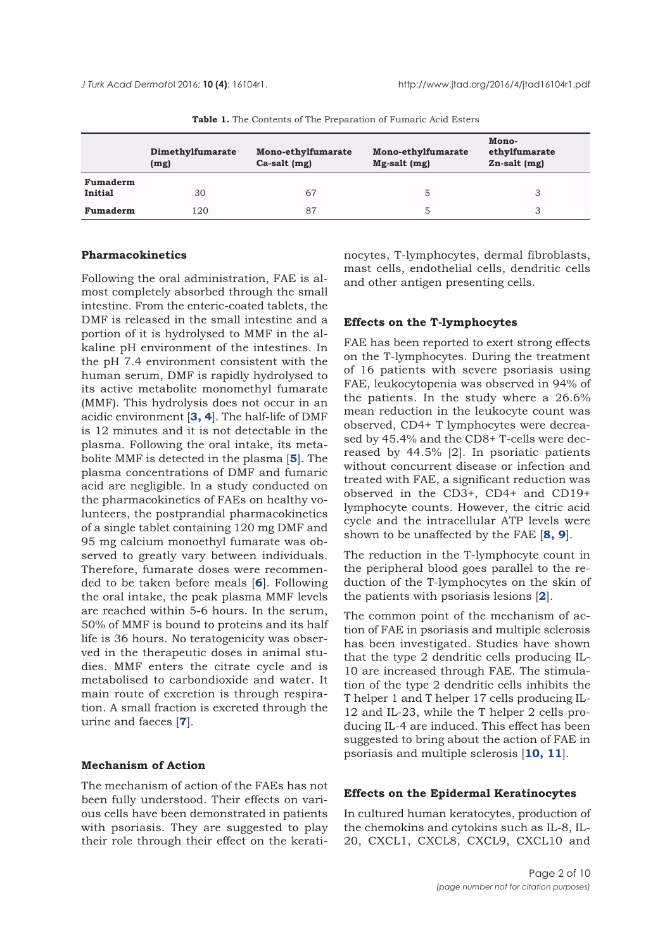<span id="page-1-0"></span>

|                            | Dimethylfumarate<br>(mg) | Mono-ethylfumarate<br>$Ca-salt$ (mg) | Mono-ethylfumarate<br>$Mg-salt$ (mg) | Mono-<br>ethylfumarate<br>$Zn$ -salt $(mg)$ |
|----------------------------|--------------------------|--------------------------------------|--------------------------------------|---------------------------------------------|
| Fumaderm<br><b>Initial</b> | 30                       | 67                                   | 5.                                   |                                             |
| Fumaderm                   | 120                      | 87                                   | 5                                    |                                             |

**Table 1.** The Contents of The Preparation of Fumaric Acid Esters

## **Pharmacokinetics**

Following the oral administration, FAE is almost completely absorbed through the small intestine. From the enteric-coated tablets, the DMF is released in the small intestine and a portion of it is hydrolysed to MMF in the alkaline pH environment of the intestines. In the pH 7.4 environment consistent with the human serum, DMF is rapidly hydrolysed to its active metabolite monomethyl fumarate (MMF). This hydrolysis does not occur in an acidic environment [**[3, 4](#page-7-0)**]. The half-life of DMF is 12 minutes and it is not detectable in the plasma. Following the oral intake, its metabolite MMF is detected in the plasma [**[5](#page-8-0)**]. The plasma concentrations of DMF and fumaric acid are negligible. In a study conducted on the pharmacokinetics of FAEs on healthy volunteers, the postprandial pharmacokinetics of a single tablet containing 120 mg DMF and 95 mg calcium monoethyl fumarate was observed to greatly vary between individuals. Therefore, fumarate doses were recommended to be taken before meals [**[6](#page-7-0)**]. Following the oral intake, the peak plasma MMF levels are reached within 5-6 hours. In the serum, 50% of MMF is bound to proteins and its half life is 36 hours. No teratogenicity was observed in the therapeutic doses in animal studies. MMF enters the citrate cycle and is metabolised to carbondioxide and water. It main route of excretion is through respiration. A small fraction is excreted through the urine and faeces [**[7](#page-7-0)**].

### **Mechanism of Action**

The mechanism of action of the FAEs has not been fully understood. Their effects on various cells have been demonstrated in patients with psoriasis. They are suggested to play their role through their effect on the keratinocytes, T-lymphocytes, dermal fibroblasts, mast cells, endothelial cells, dendritic cells and other antigen presenting cells.

#### **Effects on the T-lymphocytes**

FAE has been reported to exert strong effects on the T-lymphocytes. During the treatment of 16 patients with severe psoriasis using FAE, leukocytopenia was observed in 94% of the patients. In the study where a 26.6% mean reduction in the leukocyte count was observed, CD4+ T lymphocytes were decreased by 45.4% and the CD8+ T-cells were decreased by 44.5% [2]. In psoriatic patients without concurrent disease or infection and treated with FAE, a significant reduction was observed in the CD3+, CD4+ and CD19+ lymphocyte counts. However, the citric acid cycle and the intracellular ATP levels were shown to be unaffected by the FAE [**[8, 9](#page-7-0)**].

The reduction in the T-lymphocyte count in the peripheral blood goes parallel to the reduction of the T-lymphocytes on the skin of the patients with psoriasis lesions [**[2](#page-7-0)**].

The common point of the mechanism of action of FAE in psoriasis and multiple sclerosis has been investigated. Studies have shown that the type 2 dendritic cells producing IL-10 are increased through FAE. The stimulation of the type 2 dendritic cells inhibits the T helper 1 and T helper 17 cells producing IL-12 and IL-23, while the T helper 2 cells producing IL-4 are induced. This effect has been suggested to bring about the action of FAE in psoriasis and multiple sclerosis [**[10, 11](#page-7-0)**].

#### **Effects on the Epidermal Keratinocytes**

In cultured human keratocytes, production of the chemokins and cytokins such as IL-8, IL-20, CXCL1, CXCL8, CXCL9, CXCL10 and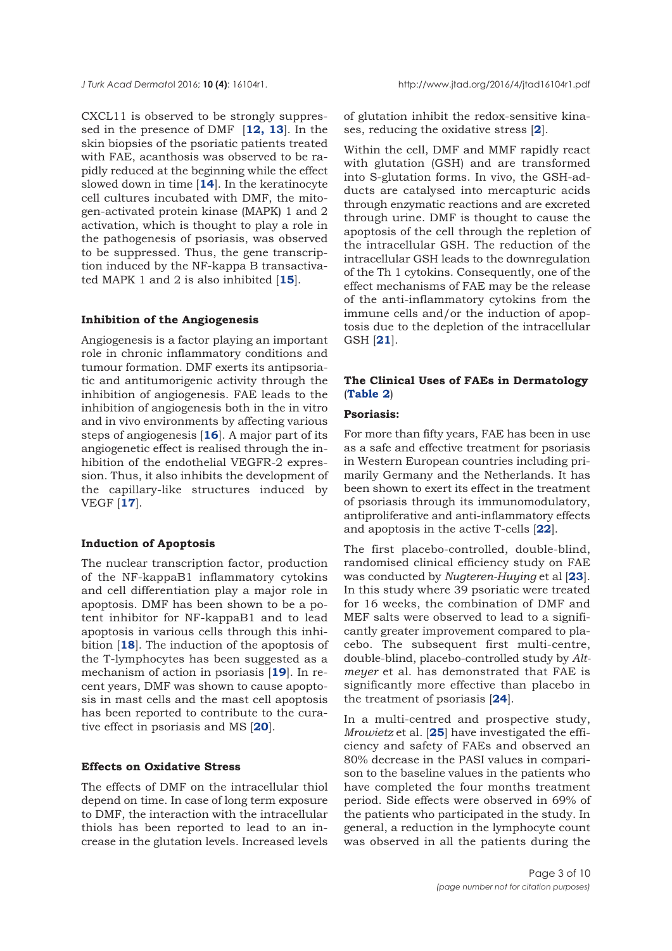CXCL11 is observed to be strongly suppressed in the presence of DMF [**[12,](#page-7-0) [13](#page-7-0)**]. In the skin biopsies of the psoriatic patients treated with FAE, acanthosis was observed to be rapidly reduced at the beginning while the effect slowed down in time [**[14](#page-7-0)**]. In the keratinocyte cell cultures incubated with DMF, the mitogen-activated protein kinase (MAPK) 1 and 2 activation, which is thought to play a role in the pathogenesis of psoriasis, was observed to be suppressed. Thus, the gene transcription induced by the NF-kappa B transactivated MAPK 1 and 2 is also inhibited [**[15](#page-7-0)**].

#### **Inhibition of the Angiogenesis**

Angiogenesis is a factor playing an important role in chronic inflammatory conditions and tumour formation. DMF exerts its antipsoriatic and antitumorigenic activity through the inhibition of angiogenesis. FAE leads to the inhibition of angiogenesis both in the in vitro and in vivo environments by affecting various steps of angiogenesis [**[16](#page-7-0)**]. A major part of its angiogenetic effect is realised through the inhibition of the endothelial VEGFR-2 expression. Thus, it also inhibits the development of the capillary-like structures induced by VEGF [**[17](#page-8-0)**].

#### **Induction of Apoptosis**

The nuclear transcription factor, production of the NF-kappaB1 inflammatory cytokins and cell differentiation play a major role in apoptosis. DMF has been shown to be a potent inhibitor for NF-kappaB1 and to lead apoptosis in various cells through this inhibition [**[18](#page-8-0)**]. The induction of the apoptosis of the T-lymphocytes has been suggested as a mechanism of action in psoriasis [**[19](#page-8-0)**]. In recent years, DMF was shown to cause apoptosis in mast cells and the mast cell apoptosis has been reported to contribute to the curative effect in psoriasis and MS [**[20](#page-8-0)**].

#### **Effects on Oxidative Stress**

The effects of DMF on the intracellular thiol depend on time. In case of long term exposure to DMF, the interaction with the intracellular thiols has been reported to lead to an increase in the glutation levels. Increased levels of glutation inhibit the redox-sensitive kinases, reducing the oxidative stress [**[2](#page-7-0)**].

Within the cell, DMF and MMF rapidly react with glutation (GSH) and are transformed into S-glutation forms. In vivo, the GSH-adducts are catalysed into mercapturic acids through enzymatic reactions and are excreted through urine. DMF is thought to cause the apoptosis of the cell through the repletion of the intracellular GSH. The reduction of the intracellular GSH leads to the downregulation of the Th 1 cytokins. Consequently, one of the effect mechanisms of FAE may be the release of the anti-inflammatory cytokins from the immune cells and/or the induction of apoptosis due to the depletion of the intracellular GSH [**[21](#page-8-0)**].

#### **The Clinical Uses of FAEs in Dermatology** (**[Table 2](#page-3-0)**)

# **Psoriasis:**

For more than fifty years, FAE has been in use as a safe and effective treatment for psoriasis in Western European countries including primarily Germany and the Netherlands. It has been shown to exert its effect in the treatment of psoriasis through its immunomodulatory, antiproliferative and anti-inflammatory effects and apoptosis in the active T-cells [**[22](#page-8-0)**].

The first placebo-controlled, double-blind, randomised clinical efficiency study on FAE was conducted by *Nugteren-Huying* et al [**[23](#page-8-0)**]. In this study where 39 psoriatic were treated for 16 weeks, the combination of DMF and MEF salts were observed to lead to a significantly greater improvement compared to placebo. The subsequent first multi-centre, double-blind, placebo-controlled study by *Altmeyer* et al. has demonstrated that FAE is significantly more effective than placebo in the treatment of psoriasis [**[24](#page-8-0)**].

In a multi-centred and prospective study, *Mrowietz* et al. [**[25](#page-8-0)**] have investigated the efficiency and safety of FAEs and observed an 80% decrease in the PASI values in comparison to the baseline values in the patients who have completed the four months treatment period. Side effects were observed in 69% of the patients who participated in the study. In general, a reduction in the lymphocyte count was observed in all the patients during the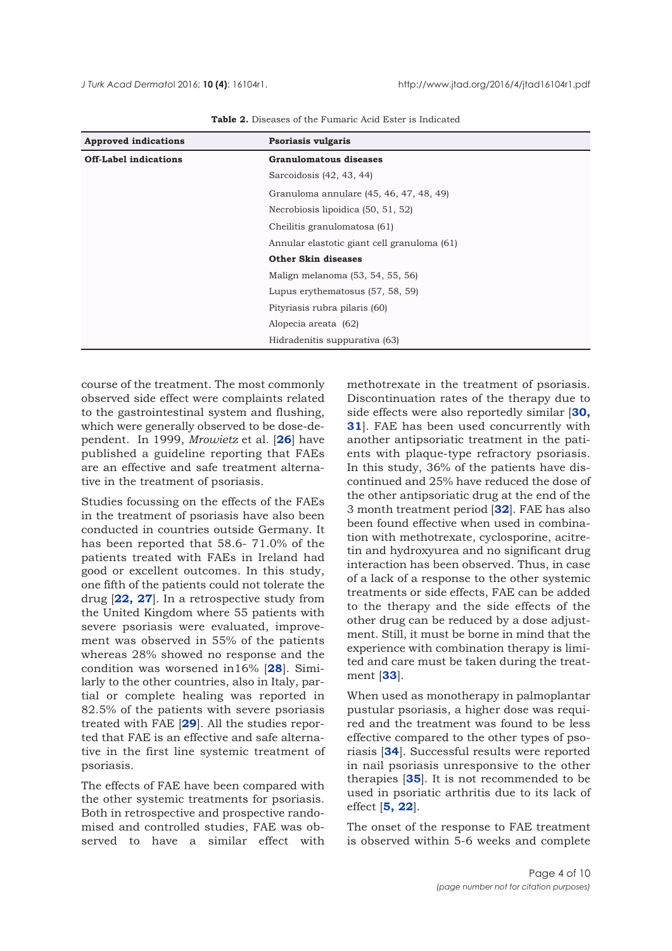<span id="page-3-0"></span>

| <b>Approved indications</b>  | Psoriasis vulgaris                          |  |
|------------------------------|---------------------------------------------|--|
| <b>Off-Label indications</b> | Granulomatous diseases                      |  |
|                              | Sarcoidosis (42, 43, 44)                    |  |
|                              | Granuloma annulare (45, 46, 47, 48, 49)     |  |
|                              | Necrobiosis lipoidica (50, 51, 52)          |  |
|                              | Cheilitis granulomatosa (61)                |  |
|                              | Annular elastotic giant cell granuloma (61) |  |
|                              | <b>Other Skin diseases</b>                  |  |
|                              | Malign melanoma (53, 54, 55, 56)            |  |
|                              | Lupus erythematosus (57, 58, 59)            |  |
|                              | Pityriasis rubra pilaris (60)               |  |
|                              | Alopecia areata (62)                        |  |
|                              | Hidradenitis suppurativa (63)               |  |

**Table 2.** Diseases of the Fumaric Acid Ester is Indicated

course of the treatment. The most commonly observed side effect were complaints related to the gastrointestinal system and flushing, which were generally observed to be dose-dependent. In 1999, *Mrowietz* et al. [**[26](#page-8-0)**] have published a guideline reporting that FAEs are an effective and safe treatment alternative in the treatment of psoriasis.

Studies focussing on the effects of the FAEs in the treatment of psoriasis have also been conducted in countries outside Germany. It has been reported that 58.6- 71.0% of the patients treated with FAEs in Ireland had good or excellent outcomes. In this study, one fifth of the patients could not tolerate the drug [**[22,](#page-8-0) [27](#page-8-0)**]. In a retrospective study from the United Kingdom where 55 patients with severe psoriasis were evaluated, improvement was observed in 55% of the patients whereas 28% showed no response and the condition was worsened in16% [**[28](#page-8-0)**]. Similarly to the other countries, also in Italy, partial or complete healing was reported in 82.5% of the patients with severe psoriasis treated with FAE [**[29](#page-8-0)**]. All the studies reported that FAE is an effective and safe alternative in the first line systemic treatment of psoriasis.

The effects of FAE have been compared with the other systemic treatments for psoriasis. Both in retrospective and prospective randomised and controlled studies, FAE was observed to have a similar effect with

methotrexate in the treatment of psoriasis. Discontinuation rates of the therapy due to side effects were also reportedly similar [**[30,](#page-8-0) [31](#page-8-0)**]. FAE has been used concurrently with another antipsoriatic treatment in the patients with plaque-type refractory psoriasis. In this study, 36% of the patients have discontinued and 25% have reduced the dose of the other antipsoriatic drug at the end of the 3 month treatment period [**[32](#page-8-0)**]. FAE has also been found effective when used in combination with methotrexate, cyclosporine, acitretin and hydroxyurea and no significant drug interaction has been observed. Thus, in case of a lack of a response to the other systemic treatments or side effects, FAE can be added to the therapy and the side effects of the other drug can be reduced by a dose adjustment. Still, it must be borne in mind that the experience with combination therapy is limited and care must be taken during the treatment [**[33](#page-8-0)**].

When used as monotherapy in palmoplantar pustular psoriasis, a higher dose was required and the treatment was found to be less effective compared to the other types of psoriasis [**[34](#page-8-0)**]. Successful results were reported in nail psoriasis unresponsive to the other therapies [**[35](#page-8-0)**]. It is not recommended to be used in psoriatic arthritis due to its lack of effect [**[5, 22](#page-8-0)**].

The onset of the response to FAE treatment is observed within 5-6 weeks and complete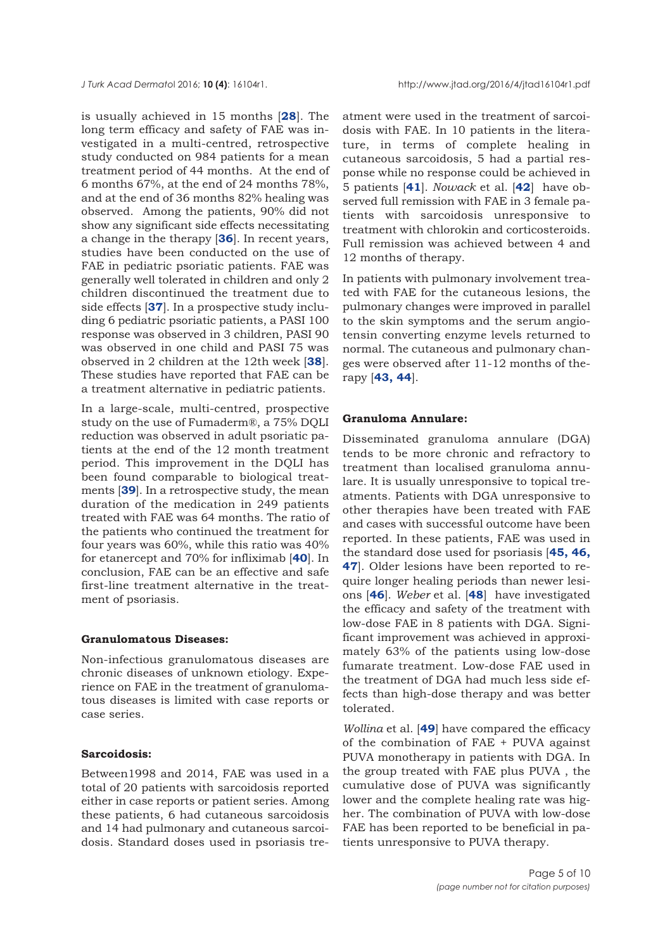is usually achieved in 15 months [**[28](#page-8-0)**]. The long term efficacy and safety of FAE was investigated in a multi-centred, retrospective study conducted on 984 patients for a mean treatment period of 44 months. At the end of 6 months 67%, at the end of 24 months 78%, and at the end of 36 months 82% healing was observed. Among the patients, 90% did not show any significant side effects necessitating a change in the therapy [**[36](#page-8-0)**]. In recent years, studies have been conducted on the use of FAE in pediatric psoriatic patients. FAE was generally well tolerated in children and only 2 children discontinued the treatment due to side effects [**[37](#page-8-0)**]. In a prospective study including 6 pediatric psoriatic patients, a PASI 100 response was observed in 3 children, PASI 90 was observed in one child and PASI 75 was observed in 2 children at the 12th week [**[38](#page-8-0)**]. These studies have reported that FAE can be a treatment alternative in pediatric patients.

In a large-scale, multi-centred, prospective study on the use of Fumaderm®, a 75% DQLI reduction was observed in adult psoriatic patients at the end of the 12 month treatment period. This improvement in the DQLI has been found comparable to biological treatments [**[39](#page-8-0)**]. In a retrospective study, the mean duration of the medication in 249 patients treated with FAE was 64 months. The ratio of the patients who continued the treatment for four years was 60%, while this ratio was 40% for etanercept and 70% for infliximab [**[40](#page-8-0)**]. In conclusion, FAE can be an effective and safe first-line treatment alternative in the treatment of psoriasis.

#### **Granulomatous Diseases:**

Non-infectious granulomatous diseases are chronic diseases of unknown etiology. Experience on FAE in the treatment of granulomatous diseases is limited with case reports or case series.

#### **Sarcoidosis:**

Between1998 and 2014, FAE was used in a total of 20 patients with sarcoidosis reported either in case reports or patient series. Among these patients, 6 had cutaneous sarcoidosis and 14 had pulmonary and cutaneous sarcoidosis. Standard doses used in psoriasis treatment were used in the treatment of sarcoidosis with FAE. In 10 patients in the literature, in terms of complete healing in cutaneous sarcoidosis, 5 had a partial response while no response could be achieved in 5 patients [**[41](#page-8-0)**]. *Nowack* et al. [**[42](#page-8-0)**] have observed full remission with FAE in 3 female patients with sarcoidosis unresponsive to treatment with chlorokin and corticosteroids. Full remission was achieved between 4 and 12 months of therapy.

In patients with pulmonary involvement treated with FAE for the cutaneous lesions, the pulmonary changes were improved in parallel to the skin symptoms and the serum angiotensin converting enzyme levels returned to normal. The cutaneous and pulmonary changes were observed after 11-12 months of therapy [**[43,](#page-9-0) [44](#page-9-0)**].

#### **Granuloma Annulare:**

Disseminated granuloma annulare (DGA) tends to be more chronic and refractory to treatment than localised granuloma annulare. It is usually unresponsive to topical treatments. Patients with DGA unresponsive to other therapies have been treated with FAE and cases with successful outcome have been reported. In these patients, FAE was used in the standard dose used for psoriasis [**[45,](#page-9-0) [46,](#page-9-0) [47](#page-9-0)**]. Older lesions have been reported to require longer healing periods than newer lesions [**[46](#page-9-0)**]. *Weber* et al. [**[48](#page-9-0)**] have investigated the efficacy and safety of the treatment with low-dose FAE in 8 patients with DGA. Significant improvement was achieved in approximately 63% of the patients using low-dose fumarate treatment. Low-dose FAE used in the treatment of DGA had much less side effects than high-dose therapy and was better tolerated.

*Wollina* et al. [**[49](#page-9-0)**] have compared the efficacy of the combination of FAE + PUVA against PUVA monotherapy in patients with DGA. In the group treated with FAE plus PUVA , the cumulative dose of PUVA was significantly lower and the complete healing rate was higher. The combination of PUVA with low-dose FAE has been reported to be beneficial in patients unresponsive to PUVA therapy.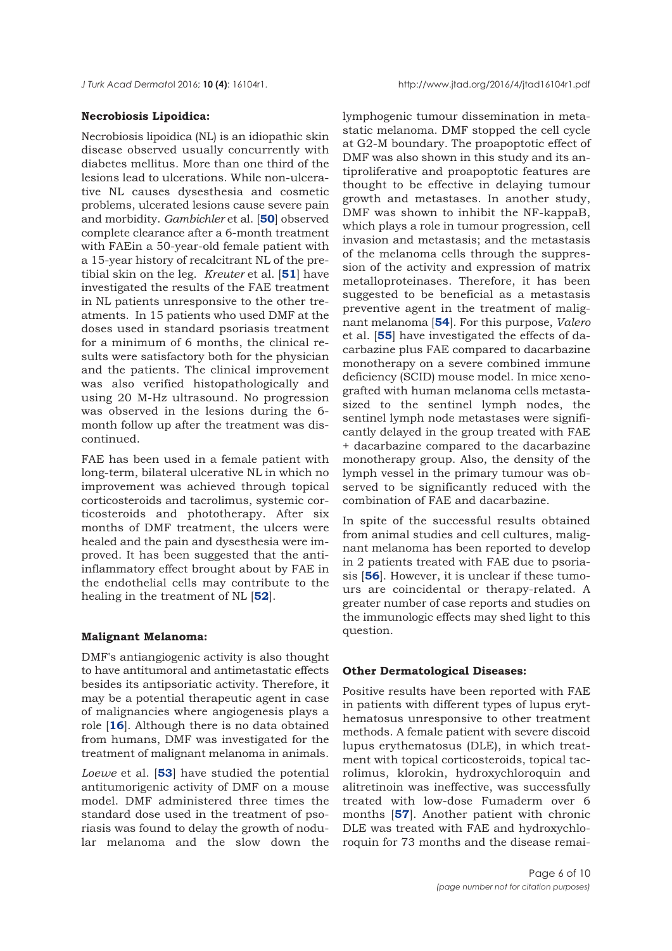#### **Necrobiosis Lipoidica:**

Necrobiosis lipoidica (NL) is an idiopathic skin disease observed usually concurrently with diabetes mellitus. More than one third of the lesions lead to ulcerations. While non-ulcerative NL causes dysesthesia and cosmetic problems, ulcerated lesions cause severe pain and morbidity. *Gambichler* et al. [**[50](#page-9-0)**] observed complete clearance after a 6-month treatment with FAEin a 50-year-old female patient with a 15-year history of recalcitrant NL of the pretibial skin on the leg. *Kreuter* et al. [**[51](#page-9-0)**] have investigated the results of the FAE treatment in NL patients unresponsive to the other treatments. In 15 patients who used DMF at the doses used in standard psoriasis treatment for a minimum of 6 months, the clinical results were satisfactory both for the physician and the patients. The clinical improvement was also verified histopathologically and using 20 M-Hz ultrasound. No progression was observed in the lesions during the 6 month follow up after the treatment was discontinued.

FAE has been used in a female patient with long-term, bilateral ulcerative NL in which no improvement was achieved through topical corticosteroids and tacrolimus, systemic corticosteroids and phototherapy. After six months of DMF treatment, the ulcers were healed and the pain and dysesthesia were improved. It has been suggested that the antiinflammatory effect brought about by FAE in the endothelial cells may contribute to the healing in the treatment of NL [**[52](#page-9-0)**].

#### **Malignant Melanoma:**

DMF's antiangiogenic activity is also thought to have antitumoral and antimetastatic effects besides its antipsoriatic activity. Therefore, it may be a potential therapeutic agent in case of malignancies where angiogenesis plays a role [**[16](#page-7-0)**]. Although there is no data obtained from humans, DMF was investigated for the treatment of malignant melanoma in animals.

*Loewe* et al. [**[53](#page-9-0)**] have studied the potential antitumorigenic activity of DMF on a mouse model. DMF administered three times the standard dose used in the treatment of psoriasis was found to delay the growth of nodular melanoma and the slow down the lymphogenic tumour dissemination in metastatic melanoma. DMF stopped the cell cycle at G2-M boundary. The proapoptotic effect of DMF was also shown in this study and its antiproliferative and proapoptotic features are thought to be effective in delaying tumour growth and metastases. In another study, DMF was shown to inhibit the NF-kappaB, which plays a role in tumour progression, cell invasion and metastasis; and the metastasis of the melanoma cells through the suppression of the activity and expression of matrix metalloproteinases. Therefore, it has been suggested to be beneficial as a metastasis preventive agent in the treatment of malignant melanoma [**[54](#page-9-0)**]. For this purpose, *Valero* et al. [**[55](#page-9-0)**] have investigated the effects of dacarbazine plus FAE compared to dacarbazine monotherapy on a severe combined immune deficiency (SCID) mouse model. In mice xenografted with human melanoma cells metastasized to the sentinel lymph nodes, the sentinel lymph node metastases were significantly delayed in the group treated with FAE + dacarbazine compared to the dacarbazine monotherapy group. Also, the density of the lymph vessel in the primary tumour was observed to be significantly reduced with the combination of FAE and dacarbazine.

In spite of the successful results obtained from animal studies and cell cultures, malignant melanoma has been reported to develop in 2 patients treated with FAE due to psoriasis [**[56](#page-9-0)**]. However, it is unclear if these tumours are coincidental or therapy-related. A greater number of case reports and studies on the immunologic effects may shed light to this question.

#### **Other Dermatological Diseases:**

Positive results have been reported with FAE in patients with different types of lupus erythematosus unresponsive to other treatment methods. A female patient with severe discoid lupus erythematosus (DLE), in which treatment with topical corticosteroids, topical tacrolimus, klorokin, hydroxychloroquin and alitretinoin was ineffective, was successfully treated with low-dose Fumaderm over 6 months [**[57](#page-9-0)**]. Another patient with chronic DLE was treated with FAE and hydroxychloroquin for 73 months and the disease remai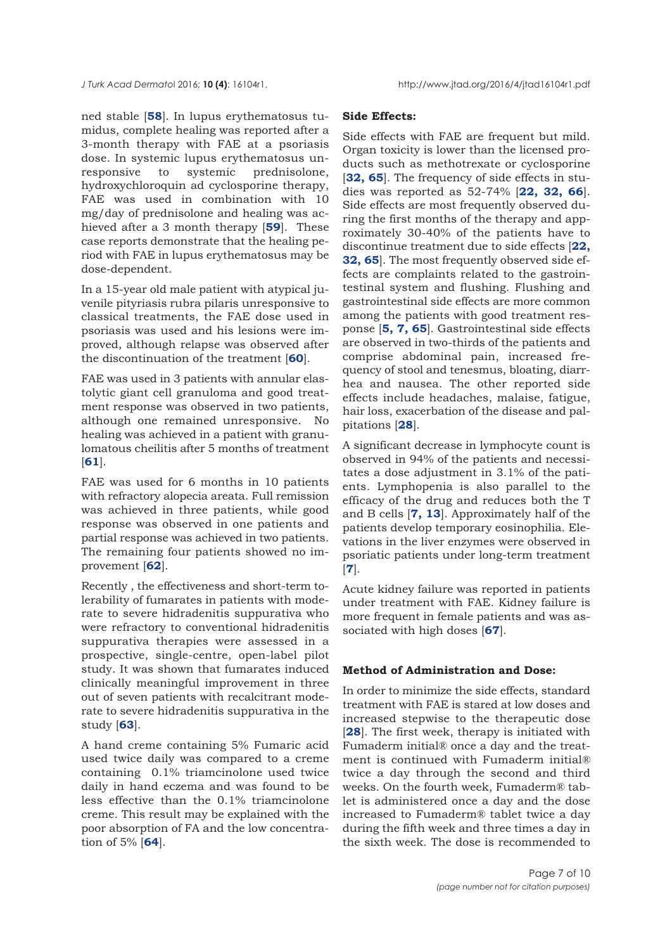ned stable [**[58](#page-9-0)**]. In lupus erythematosus tumidus, complete healing was reported after a 3-month therapy with FAE at a psoriasis dose. In systemic lupus erythematosus unresponsive to systemic prednisolone, hydroxychloroquin ad cyclosporine therapy, FAE was used in combination with 10 mg/day of prednisolone and healing was achieved after a 3 month therapy [**[59](#page-9-0)**]. These case reports demonstrate that the healing period with FAE in lupus erythematosus may be dose-dependent.

In a 15-year old male patient with atypical juvenile pityriasis rubra pilaris unresponsive to classical treatments, the FAE dose used in psoriasis was used and his lesions were improved, although relapse was observed after the discontinuation of the treatment [**[60](#page-9-0)**].

FAE was used in 3 patients with annular elastolytic giant cell granuloma and good treatment response was observed in two patients, although one remained unresponsive. No healing was achieved in a patient with granulomatous cheilitis after 5 months of treatment [**[61](#page-9-0)**].

FAE was used for 6 months in 10 patients with refractory alopecia areata. Full remission was achieved in three patients, while good response was observed in one patients and partial response was achieved in two patients. The remaining four patients showed no improvement [**[62](#page-9-0)**].

Recently , the effectiveness and short-term tolerability of fumarates in patients with moderate to severe hidradenitis suppurativa who were refractory to conventional hidradenitis suppurativa therapies were assessed in a prospective, single-centre, open-label pilot study. It was shown that fumarates induced clinically meaningful improvement in three out of seven patients with recalcitrant moderate to severe hidradenitis suppurativa in the study [**[63](#page-9-0)**].

A hand creme containing 5% Fumaric acid used twice daily was compared to a creme containing 0.1% triamcinolone used twice daily in hand eczema and was found to be less effective than the 0.1% triamcinolone creme. This result may be explained with the poor absorption of FA and the low concentration of 5% [**[64](#page-9-0)**].

#### **Side Effects:**

Side effects with FAE are frequent but mild. Organ toxicity is lower than the licensed products such as methotrexate or cyclosporine [**[32,](#page-8-0) [65](#page-9-0)**]. The frequency of side effects in studies was reported as 52-74% [**[22, 32,](#page-8-0) [66](#page-9-0)**]. Side effects are most frequently observed during the first months of the therapy and approximately 30-40% of the patients have to discontinue treatment due to side effects [**[22,](#page-8-0) [32,](#page-8-0) [65](#page-9-0)**]. The most frequently observed side effects are complaints related to the gastrointestinal system and flushing. Flushing and gastrointestinal side effects are more common among the patients with good treatment response [**[5, 7,](#page-7-0) [65](#page-9-0)**]. Gastrointestinal side effects are observed in two-thirds of the patients and comprise abdominal pain, increased frequency of stool and tenesmus, bloating, diarrhea and nausea. The other reported side effects include headaches, malaise, fatigue, hair loss, exacerbation of the disease and palpitations [**[28](#page-8-0)**].

A significant decrease in lymphocyte count is observed in 94% of the patients and necessitates a dose adjustment in 3.1% of the patients. Lymphopenia is also parallel to the efficacy of the drug and reduces both the T and B cells [**[7, 13](#page-7-0)**]. Approximately half of the patients develop temporary eosinophilia. Elevations in the liver enzymes were observed in psoriatic patients under long-term treatment [**[7](#page-7-0)**].

Acute kidney failure was reported in patients under treatment with FAE. Kidney failure is more frequent in female patients and was associated with high doses [**[67](#page-9-0)**].

#### **Method of Administration and Dose:**

In order to minimize the side effects, standard treatment with FAE is stared at low doses and increased stepwise to the therapeutic dose [**[28](#page-8-0)**]. The first week, therapy is initiated with Fumaderm initial® once a day and the treatment is continued with Fumaderm initial® twice a day through the second and third weeks. On the fourth week, Fumaderm® tablet is administered once a day and the dose increased to Fumaderm® tablet twice a day during the fifth week and three times a day in the sixth week. The dose is recommended to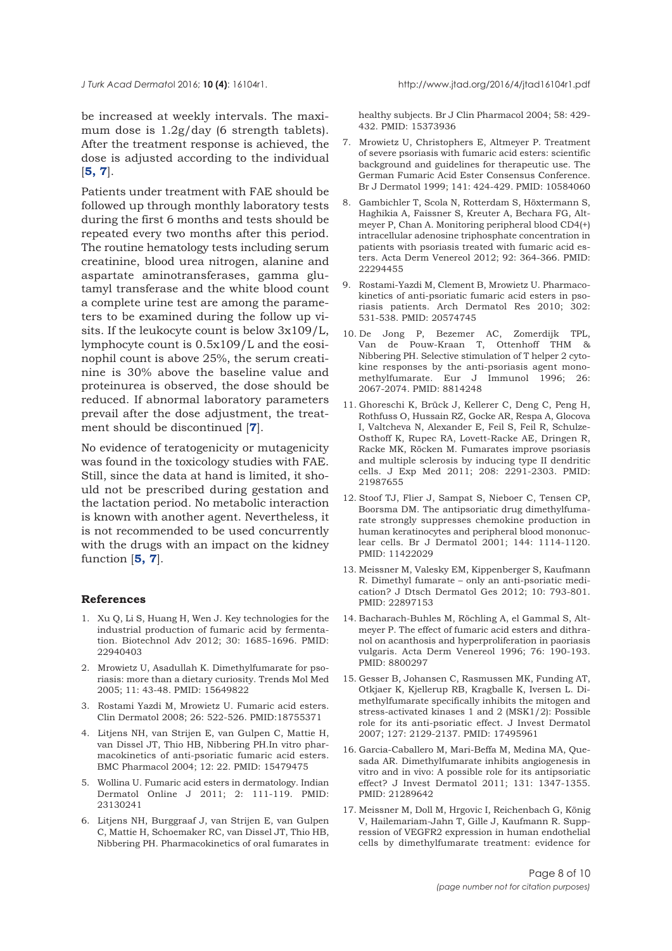<span id="page-7-0"></span>be increased at weekly intervals. The maximum dose is 1.2g/day (6 strength tablets). After the treatment response is achieved, the dose is adjusted according to the individual [**5, 7**].

Patients under treatment with FAE should be followed up through monthly laboratory tests during the first 6 months and tests should be repeated every two months after this period. The routine hematology tests including serum creatinine, blood urea nitrogen, alanine and aspartate aminotransferases, gamma glutamyl transferase and the white blood count a complete urine test are among the parameters to be examined during the follow up visits. If the leukocyte count is below 3x109/L, lymphocyte count is 0.5x109/L and the eosinophil count is above 25%, the serum creatinine is 30% above the baseline value and proteinurea is observed, the dose should be reduced. If abnormal laboratory parameters prevail after the dose adjustment, the treatment should be discontinued [**7**].

No evidence of teratogenicity or mutagenicity was found in the toxicology studies with FAE. Still, since the data at hand is limited, it should not be prescribed during gestation and the lactation period. No metabolic interaction is known with another agent. Nevertheless, it is not recommended to be used concurrently with the drugs with an impact on the kidney function [**5, 7**].

#### **References**

- 1. Xu Q, Li S, Huang H, Wen J. Key technologies for the industrial production of fumaric acid by fermentation. Biotechnol Adv 2012; 30: 1685-1696. PMID: 22940403
- 2. Mrowietz U, Asadullah K. Dimethylfumarate for psoriasis: more than a dietary curiosity. Trends Mol Med 2005; 11: 43-48. PMID: 15649822
- 3. Rostami Yazdi M, Mrowietz U. Fumaric acid esters. Clin Dermatol 2008; 26: 522-526. PMID:18755371
- 4. Litjens NH, van Strijen E, van Gulpen C, Mattie H, van Dissel JT, Thio HB, Nibbering PH.In vitro pharmacokinetics of anti-psoriatic fumaric acid esters. BMC Pharmacol 2004; 12: 22. PMID: 15479475
- 5. Wollina U. Fumaric acid esters in dermatology. Indian Dermatol Online J 2011; 2: 111-119. PMID: 23130241
- 6. Litjens NH, Burggraaf J, van Strijen E, van Gulpen C, Mattie H, Schoemaker RC, van Dissel JT, Thio HB, Nibbering PH. Pharmacokinetics of oral fumarates in

healthy subjects. Br J Clin Pharmacol 2004; 58: 429- 432. PMID: 15373936

- 7. Mrowietz U, Christophers E, Altmeyer P. Treatment of severe psoriasis with fumaric acid esters: scientific background and guidelines for therapeutic use. The German Fumaric Acid Ester Consensus Conference. Br J Dermatol 1999; 141: 424-429. PMID: 10584060
- 8. Gambichler T, Scola N, Rotterdam S, Höxtermann S, Haghikia A, Faissner S, Kreuter A, Bechara FG, Altmeyer P, Chan A. Monitoring peripheral blood CD4(+) intracellular adenosine triphosphate concentration in patients with psoriasis treated with fumaric acid esters. Acta Derm Venereol 2012; 92: 364-366. PMID: 22294455
- 9. Rostami-Yazdi M, Clement B, Mrowietz U. Pharmacokinetics of anti-psoriatic fumaric acid esters in psoriasis patients. Arch Dermatol Res 2010; 302: 531-538. PMID: 20574745
- 10. De Jong P, Bezemer AC, Zomerdijk TPL, Van de Pouw-Kraan T, Ottenhoff THM & Nibbering PH. Selective stimulation of T helper 2 cytokine responses by the anti-psoriasis agent monomethylfumarate. Eur J Immunol 1996; 26: 2067-2074. PMID: 8814248
- 11. Ghoreschi K, Brück J, Kellerer C, Deng C, Peng H, Rothfuss O, Hussain RZ, Gocke AR, Respa A, Glocova I, Valtcheva N, Alexander E, Feil S, Feil R, Schulze-Osthoff K, Rupec RA, Lovett-Racke AE, Dringen R, Racke MK, Röcken M. Fumarates improve psoriasis and multiple sclerosis by inducing type II dendritic cells. J Exp Med 2011; 208: 2291-2303. PMID: 21987655
- 12. Stoof TJ, Flier J, Sampat S, Nieboer C, Tensen CP, Boorsma DM. The antipsoriatic drug dimethylfumarate strongly suppresses chemokine production in human keratinocytes and peripheral blood mononuclear cells. Br J Dermatol 2001; 144: 1114-1120. PMID: 11422029
- 13. Meissner M, Valesky EM, Kippenberger S, Kaufmann R. Dimethyl fumarate – only an anti-psoriatic medication? J Dtsch Dermatol Ges 2012; 10: 793-801. PMID: 22897153
- 14. Bacharach-Buhles M, Röchling A, el Gammal S, Altmeyer P. The effect of fumaric acid esters and dithranol on acanthosis and hyperproliferation in paoriasis vulgaris. Acta Derm Venereol 1996; 76: 190-193. PMID: 8800297
- 15. Gesser B, Johansen C, Rasmussen MK, Funding AT, Otkjaer K, Kjellerup RB, Kragballe K, Iversen L. Dimethylfumarate specifically inhibits the mitogen and stress-activated kinases 1 and 2 (MSK1/2): Possible role for its anti-psoriatic effect. J Invest Dermatol 2007; 127: 2129-2137. PMID: 17495961
- 16. Garcia-Caballero M, Mari-Beffa M, Medina MA, Quesada AR. Dimethylfumarate inhibits angiogenesis in vitro and in vivo: A possible role for its antipsoriatic effect? J Invest Dermatol 2011; 131: 1347-1355. PMID: 21289642
- 17. Meissner M, Doll M, Hrgovic I, Reichenbach G, König V, Hailemariam-Jahn T, Gille J, Kaufmann R. Suppression of VEGFR2 expression in human endothelial cells by dimethylfumarate treatment: evidence for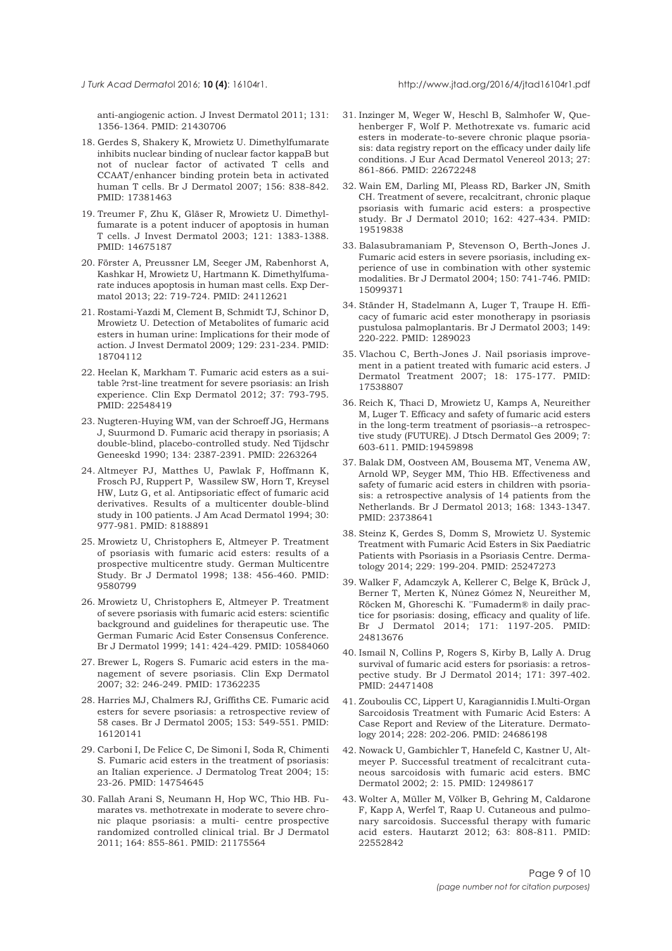<span id="page-8-0"></span>

anti-angiogenic action. J Invest Dermatol 2011; 131: 1356-1364. PMID: 21430706

- 18. Gerdes S, Shakery K, Mrowietz U. Dimethylfumarate inhibits nuclear binding of nuclear factor kappaB but not of nuclear factor of activated T cells and CCAAT/enhancer binding protein beta in activated human T cells. Br J Dermatol 2007; 156: 838-842. PMID: 17381463
- 19. Treumer F, Zhu K, Gläser R, Mrowietz U. Dimethylfumarate is a potent inducer of apoptosis in human T cells. J Invest Dermatol 2003; 121: 1383-1388. PMID: 14675187
- 20. Förster A, Preussner LM, Seeger JM, Rabenhorst A, Kashkar H, Mrowietz U, Hartmann K. Dimethylfumarate induces apoptosis in human mast cells. Exp Dermatol 2013; 22: 719-724. PMID: 24112621
- 21. Rostami-Yazdi M, Clement B, Schmidt TJ, Schinor D, Mrowietz U. Detection of Metabolites of fumaric acid esters in human urine: Implications for their mode of action. J Invest Dermatol 2009; 129: 231-234. PMID: 18704112
- 22. Heelan K, Markham T. Fumaric acid esters as a suitable ?rst-line treatment for severe psoriasis: an Irish experience. Clin Exp Dermatol 2012; 37: 793-795. PMID: 22548419
- 23. Nugteren-Huying WM, van der Schroeff JG, Hermans J, Suurmond D. Fumaric acid therapy in psoriasis; A double-blind, placebo-controlled study. Ned Tijdschr Geneeskd 1990; 134: 2387-2391. PMID: 2263264
- 24. Altmeyer PJ, Matthes U, Pawlak F, Hoffmann K, Frosch PJ, Ruppert P, Wassilew SW, Horn T, Kreysel HW, Lutz G, et al. Antipsoriatic effect of fumaric acid derivatives. Results of a multicenter double-blind study in 100 patients. J Am Acad Dermatol 1994; 30: 977-981. PMID: 8188891
- 25. Mrowietz U, Christophers E, Altmeyer P. Treatment of psoriasis with fumaric acid esters: results of a prospective multicentre study. German Multicentre Study. Br J Dermatol 1998; 138: 456-460. PMID: 9580799
- 26. Mrowietz U, Christophers E, Altmeyer P. Treatment of severe psoriasis with fumaric acid esters: scientific background and guidelines for therapeutic use. The German Fumaric Acid Ester Consensus Conference. Br J Dermatol 1999; 141: 424-429. PMID: 10584060
- 27. Brewer L, Rogers S. Fumaric acid esters in the management of severe psoriasis. Clin Exp Dermatol 2007; 32: 246-249. PMID: 17362235
- 28. Harries MJ, Chalmers RJ, Griffiths CE. Fumaric acid esters for severe psoriasis: a retrospective review of 58 cases. Br J Dermatol 2005; 153: 549-551. PMID: 16120141
- 29. Carboni I, De Felice C, De Simoni I, Soda R, Chimenti S. Fumaric acid esters in the treatment of psoriasis: an Italian experience. J Dermatolog Treat 2004; 15: 23-26. PMID: 14754645
- 30. Fallah Arani S, Neumann H, Hop WC, Thio HB. Fumarates vs. methotrexate in moderate to severe chronic plaque psoriasis: a multi- centre prospective randomized controlled clinical trial. Br J Dermatol 2011; 164: 855-861. PMID: 21175564
- 31. Inzinger M, Weger W, Heschl B, Salmhofer W, Quehenberger F, Wolf P. Methotrexate vs. fumaric acid esters in moderate-to-severe chronic plaque psoriasis: data registry report on the efficacy under daily life conditions. J Eur Acad Dermatol Venereol 2013; 27: 861-866. PMID: 22672248
- 32. Wain EM, Darling MI, Pleass RD, Barker JN, Smith CH. Treatment of severe, recalcitrant, chronic plaque psoriasis with fumaric acid esters: a prospective study. Br J Dermatol 2010; 162: 427-434. PMID: 19519838
- 33. Balasubramaniam P, Stevenson O, Berth-Jones J. Fumaric acid esters in severe psoriasis, including experience of use in combination with other systemic modalities. Br J Dermatol 2004; 150: 741-746. PMID: 15099371
- 34. Ständer H, Stadelmann A, Luger T, Traupe H. Efficacy of fumaric acid ester monotherapy in psoriasis pustulosa palmoplantaris. Br J Dermatol 2003; 149: 220-222. PMID: 1289023
- 35. Vlachou C, Berth-Jones J. Nail psoriasis improvement in a patient treated with fumaric acid esters. J Dermatol Treatment 2007; 18: 175-177. PMID: 17538807
- 36. Reich K, Thaci D, Mrowietz U, Kamps A, Neureither M, Luger T. Efficacy and safety of fumaric acid esters in the long-term treatment of psoriasis--a retrospective study (FUTURE). J Dtsch Dermatol Ges 2009; 7: 603-611. PMID:19459898
- 37. Balak DM, Oostveen AM, Bousema MT, Venema AW, Arnold WP, Seyger MM, Thio HB. Effectiveness and safety of fumaric acid esters in children with psoriasis: a retrospective analysis of 14 patients from the Netherlands. Br J Dermatol 2013; 168: 1343-1347. PMID: 23738641
- 38. Steinz K, Gerdes S, Domm S, Mrowietz U. Systemic Treatment with Fumaric Acid Esters in Six Paediatric Patients with Psoriasis in a Psoriasis Centre. Dermatology 2014; 229: 199-204. PMID: 25247273
- 39. Walker F, Adamczyk A, Kellerer C, Belge K, Brück J, Berner T, Merten K, Núnez Gómez N, Neureither M, Röcken M, Ghoreschi K. ''Fumaderm® in daily practice for psoriasis: dosing, efficacy and quality of life. Br J Dermatol 2014; 171: 1197-205. PMID: 24813676
- 40. Ismail N, Collins P, Rogers S, Kirby B, Lally A. Drug survival of fumaric acid esters for psoriasis: a retrospective study. Br J Dermatol 2014; 171: 397-402. PMID: 24471408
- 41. Zouboulis CC, Lippert U, Karagiannidis I.Multi-Organ Sarcoidosis Treatment with Fumaric Acid Esters: A Case Report and Review of the Literature. Dermatology 2014; 228: 202-206. PMID: 24686198
- 42. Nowack U, Gambichler T, Hanefeld C, Kastner U, Altmeyer P. Successful treatment of recalcitrant cutaneous sarcoidosis with fumaric acid esters. BMC Dermatol 2002; 2: 15. PMID: 12498617
- 43. Wolter A, Müller M, Völker B, Gehring M, Caldarone F, Kapp A, Werfel T, Raap U. Cutaneous and pulmonary sarcoidosis. Successful therapy with fumaric acid esters. Hautarzt 2012; 63: 808-811. PMID: 22552842